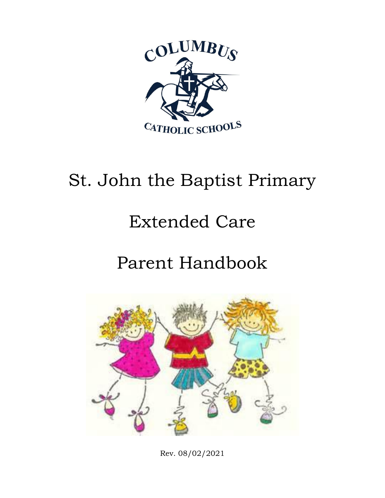

# St. John the Baptist Primary

# Extended Care

## Parent Handbook



Rev. 08/02/2021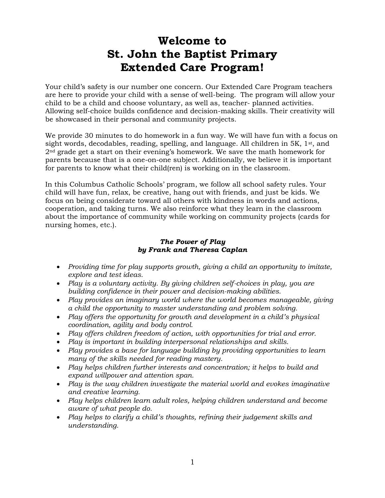## **Welcome to St. John the Baptist Primary Extended Care Program!**

Your child's safety is our number one concern. Our Extended Care Program teachers are here to provide your child with a sense of well-being. The program will allow your child to be a child and choose voluntary, as well as, teacher- planned activities. Allowing self-choice builds confidence and decision-making skills. Their creativity will be showcased in their personal and community projects.

We provide 30 minutes to do homework in a fun way. We will have fun with a focus on sight words, decodables, reading, spelling, and language. All children in 5K,  $1st$ , and 2nd grade get a start on their evening's homework. We save the math homework for parents because that is a one-on-one subject. Additionally, we believe it is important for parents to know what their child(ren) is working on in the classroom.

In this Columbus Catholic Schools' program, we follow all school safety rules. Your child will have fun, relax, be creative, hang out with friends, and just be kids. We focus on being considerate toward all others with kindness in words and actions, cooperation, and taking turns. We also reinforce what they learn in the classroom about the importance of community while working on community projects (cards for nursing homes, etc.).

#### *The Power of Play by Frank and Theresa Caplan*

- *Providing time for play supports growth, giving a child an opportunity to imitate, explore and test ideas.*
- *Play is a voluntary activity. By giving children self-choices in play, you are building confidence in their power and decision-making abilities.*
- *Play provides an imaginary world where the world becomes manageable, giving a child the opportunity to master understanding and problem solving.*
- *Play offers the opportunity for growth and development in a child's physical coordination, agility and body control.*
- *Play offers children freedom of action, with opportunities for trial and error.*
- *Play is important in building interpersonal relationships and skills.*
- *Play provides a base for language building by providing opportunities to learn many of the skills needed for reading mastery.*
- *Play helps children further interests and concentration; it helps to build and expand willpower and attention span.*
- *Play is the way children investigate the material world and evokes imaginative and creative learning.*
- *Play helps children learn adult roles, helping children understand and become aware of what people do.*
- *Play helps to clarify a child's thoughts, refining their judgement skills and understanding.*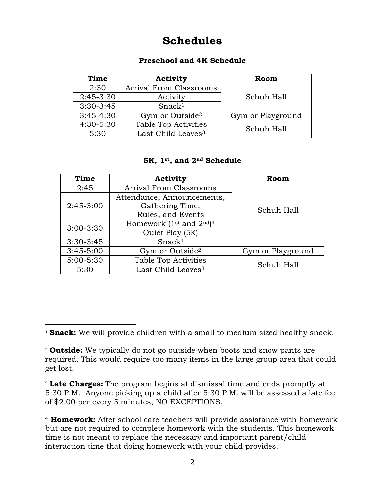## **Schedules**

#### <span id="page-2-0"></span>**Preschool and 4K Schedule**

| Time        | Activity                       | Room              |  |
|-------------|--------------------------------|-------------------|--|
| 2:30        | <b>Arrival From Classrooms</b> |                   |  |
| $2:45-3:30$ | Activity                       | Schuh Hall        |  |
| $3:30-3:45$ | Snack <sup>1</sup>             |                   |  |
| $3:45-4:30$ | Gym or Outside <sup>2</sup>    | Gym or Playground |  |
| 4:30-5:30   | <b>Table Top Activities</b>    | Schuh Hall        |  |
| 5:30        | Last Child Leaves <sup>3</sup> |                   |  |

#### <span id="page-2-2"></span><span id="page-2-1"></span>**5K, 1st, and 2nd Schedule**

| Time          | Activity                                                     | Room              |
|---------------|--------------------------------------------------------------|-------------------|
| 2:45          | <b>Arrival From Classrooms</b>                               | Schuh Hall        |
| $2:45-3:00$   | Attendance, Announcements,                                   |                   |
|               | Gathering Time,                                              |                   |
|               | Rules, and Events                                            |                   |
| $3:00 - 3:30$ | Homework (1 <sup>st</sup> and 2 <sup>nd</sup> ) <sup>4</sup> |                   |
|               | Quiet Play (5K)                                              |                   |
| $3:30-3:45$   | Snack <sup>1</sup>                                           |                   |
| $3:45 - 5:00$ | Gym or Outside <sup>2</sup>                                  | Gym or Playground |
| $5:00 - 5:30$ | <b>Table Top Activities</b>                                  | Schuh Hall        |
| 5:30          | Last Child Leaves <sup>3</sup>                               |                   |

 $\overline{a}$ <sup>1</sup> **Snack:** We will provide children with a small to medium sized healthy snack.

<sup>2</sup> **Outside:** We typically do not go outside when boots and snow pants are required. This would require too many items in the large group area that could get lost.

<sup>3</sup> **Late Charges:** The program begins at dismissal time and ends promptly at 5:30 P.M. Anyone picking up a child after 5:30 P.M. will be assessed a late fee of \$2.00 per every 5 minutes, NO EXCEPTIONS.

<sup>4</sup> **Homework:** After school care teachers will provide assistance with homework but are not required to complete homework with the students. This homework time is not meant to replace the necessary and important parent/child interaction time that doing homework with your child provides.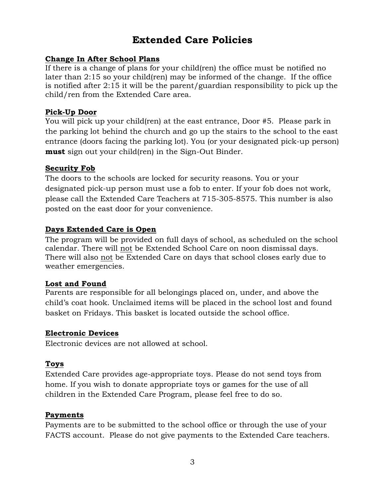### **Extended Care Policies**

#### **Change In After School Plans**

If there is a change of plans for your child(ren) the office must be notified no later than 2:15 so your child(ren) may be informed of the change. If the office is notified after 2:15 it will be the parent/guardian responsibility to pick up the child/ren from the Extended Care area.

#### **Pick-Up Door**

You will pick up your child(ren) at the east entrance, Door #5. Please park in the parking lot behind the church and go up the stairs to the school to the east entrance (doors facing the parking lot). You (or your designated pick-up person) **must** sign out your child(ren) in the Sign-Out Binder.

#### **Security Fob**

The doors to the schools are locked for security reasons. You or your designated pick-up person must use a fob to enter. If your fob does not work, please call the Extended Care Teachers at 715-305-8575. This number is also posted on the east door for your convenience.

#### **Days Extended Care is Open**

The program will be provided on full days of school, as scheduled on the school calendar. There will not be Extended School Care on noon dismissal days. There will also not be Extended Care on days that school closes early due to weather emergencies.

#### **Lost and Found**

Parents are responsible for all belongings placed on, under, and above the child's coat hook. Unclaimed items will be placed in the school lost and found basket on Fridays. This basket is located outside the school office.

#### **Electronic Devices**

Electronic devices are not allowed at school.

#### **Toys**

Extended Care provides age-appropriate toys. Please do not send toys from home. If you wish to donate appropriate toys or games for the use of all children in the Extended Care Program, please feel free to do so.

#### **Payments**

Payments are to be submitted to the school office or through the use of your FACTS account. Please do not give payments to the Extended Care teachers.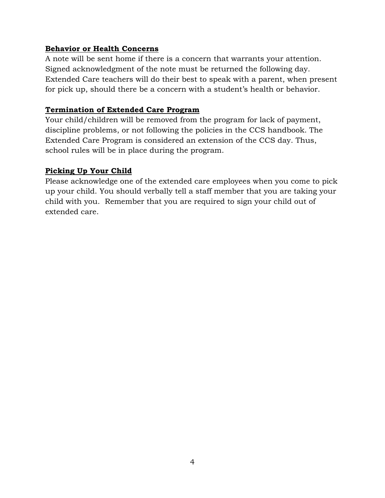#### **Behavior or Health Concerns**

A note will be sent home if there is a concern that warrants your attention. Signed acknowledgment of the note must be returned the following day. Extended Care teachers will do their best to speak with a parent, when present for pick up, should there be a concern with a student's health or behavior.

#### **Termination of Extended Care Program**

Your child/children will be removed from the program for lack of payment, discipline problems, or not following the policies in the CCS handbook. The Extended Care Program is considered an extension of the CCS day. Thus, school rules will be in place during the program.

#### **Picking Up Your Child**

Please acknowledge one of the extended care employees when you come to pick up your child. You should verbally tell a staff member that you are taking your child with you. Remember that you are required to sign your child out of extended care.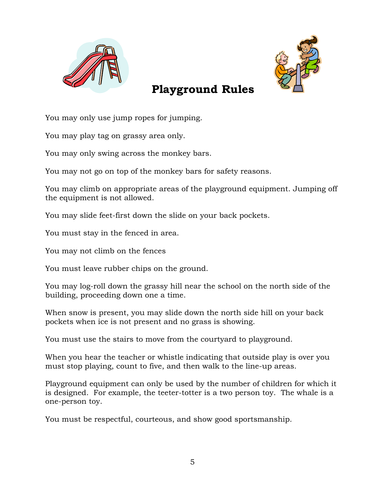



### **Playground Rules**

You may only use jump ropes for jumping.

You may play tag on grassy area only.

You may only swing across the monkey bars.

You may not go on top of the monkey bars for safety reasons.

You may climb on appropriate areas of the playground equipment. Jumping off the equipment is not allowed.

You may slide feet-first down the slide on your back pockets.

You must stay in the fenced in area.

You may not climb on the fences

You must leave rubber chips on the ground.

You may log-roll down the grassy hill near the school on the north side of the building, proceeding down one a time.

When snow is present, you may slide down the north side hill on your back pockets when ice is not present and no grass is showing.

You must use the stairs to move from the courtyard to playground.

When you hear the teacher or whistle indicating that outside play is over you must stop playing, count to five, and then walk to the line-up areas.

Playground equipment can only be used by the number of children for which it is designed. For example, the teeter-totter is a two person toy. The whale is a one-person toy.

You must be respectful, courteous, and show good sportsmanship.